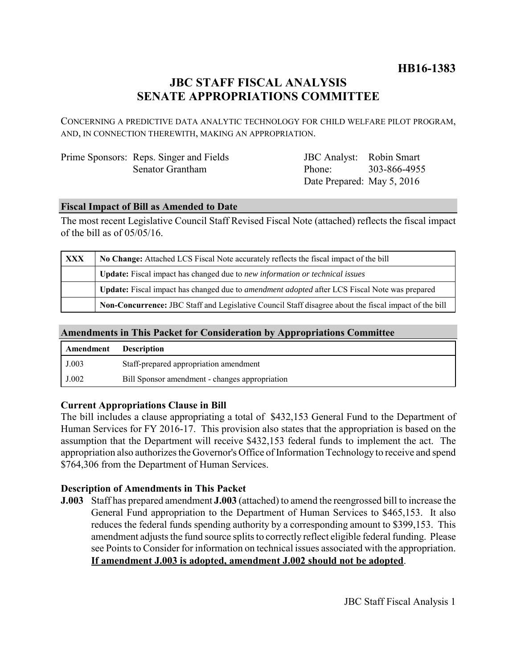## **HB16-1383**

# **JBC STAFF FISCAL ANALYSIS SENATE APPROPRIATIONS COMMITTEE**

CONCERNING A PREDICTIVE DATA ANALYTIC TECHNOLOGY FOR CHILD WELFARE PILOT PROGRAM, AND, IN CONNECTION THEREWITH, MAKING AN APPROPRIATION.

| Prime Sponsors: Reps. Singer and Fields |
|-----------------------------------------|
| Senator Grantham                        |

JBC Analyst: Robin Smart Phone: Date Prepared: May 5, 2016 303-866-4955

### **Fiscal Impact of Bill as Amended to Date**

The most recent Legislative Council Staff Revised Fiscal Note (attached) reflects the fiscal impact of the bill as of 05/05/16.

| XXX | No Change: Attached LCS Fiscal Note accurately reflects the fiscal impact of the bill                 |  |
|-----|-------------------------------------------------------------------------------------------------------|--|
|     | <b>Update:</b> Fiscal impact has changed due to new information or technical issues                   |  |
|     | Update: Fiscal impact has changed due to <i>amendment adopted</i> after LCS Fiscal Note was prepared  |  |
|     | Non-Concurrence: JBC Staff and Legislative Council Staff disagree about the fiscal impact of the bill |  |

### **Amendments in This Packet for Consideration by Appropriations Committee**

| Amendment | <b>Description</b>                             |
|-----------|------------------------------------------------|
| J.003     | Staff-prepared appropriation amendment         |
| J.002     | Bill Sponsor amendment - changes appropriation |

### **Current Appropriations Clause in Bill**

The bill includes a clause appropriating a total of \$432,153 General Fund to the Department of Human Services for FY 2016-17. This provision also states that the appropriation is based on the assumption that the Department will receive \$432,153 federal funds to implement the act. The appropriation also authorizes the Governor's Office of Information Technology to receive and spend \$764,306 from the Department of Human Services.

### **Description of Amendments in This Packet**

**J.003** Staff has prepared amendment **J.003** (attached) to amend the reengrossed bill to increase the General Fund appropriation to the Department of Human Services to \$465,153. It also reduces the federal funds spending authority by a corresponding amount to \$399,153. This amendment adjusts the fund source splits to correctly reflect eligible federal funding. Please see Points to Consider for information on technical issues associated with the appropriation. **If amendment J.003 is adopted, amendment J.002 should not be adopted**.